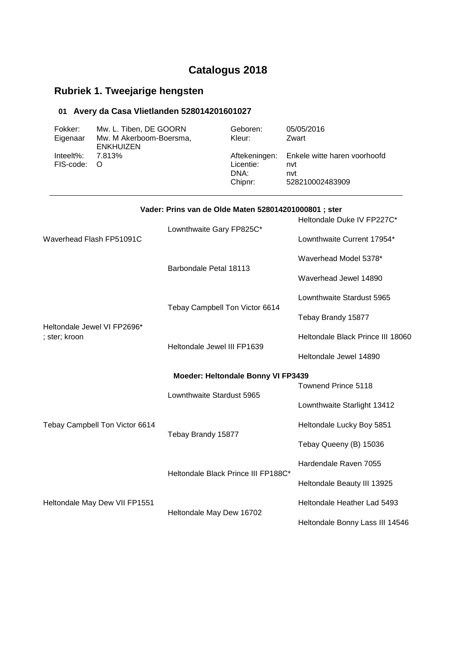# **Catalogus 2018**

## **Rubriek 1. Tweejarige hengsten**

### **01 Avery da Casa Vlietlanden 528014201601027**

| Fokker:<br>Eigenaar                          | Mw. L. Tiben, DE GOORN<br>Mw. M Akerboom-Boersma,<br><b>ENKHUIZEN</b><br>7.813%<br>O |                                                       | Geboren:<br>Kleur:                            | 05/05/2016<br>Zwart                                           |
|----------------------------------------------|--------------------------------------------------------------------------------------|-------------------------------------------------------|-----------------------------------------------|---------------------------------------------------------------|
| Inteelt%:<br>FIS-code:                       |                                                                                      |                                                       | Aftekeningen:<br>Licentie:<br>DNA:<br>Chipnr: | Enkele witte haren voorhoofd<br>nvt<br>nvt<br>528210002483909 |
|                                              |                                                                                      | Vader: Prins van de Olde Maten 528014201000801 ; ster |                                               |                                                               |
|                                              |                                                                                      |                                                       |                                               | Heltondale Duke IV FP227C*                                    |
| Waverhead Flash FP51091C                     |                                                                                      | Lownthwaite Gary FP825C*                              |                                               | Lownthwaite Current 17954*                                    |
|                                              |                                                                                      |                                                       |                                               | Waverhead Model 5378*                                         |
|                                              |                                                                                      | Barbondale Petal 18113                                |                                               | Waverhead Jewel 14890                                         |
|                                              |                                                                                      | Tebay Campbell Ton Victor 6614                        |                                               | Lownthwaite Stardust 5965                                     |
|                                              |                                                                                      |                                                       |                                               | Tebay Brandy 15877                                            |
| Heltondale Jewel VI FP2696*<br>; ster; kroon |                                                                                      |                                                       |                                               | Heltondale Black Prince III 18060                             |
|                                              |                                                                                      | Heltondale Jewel III FP1639                           |                                               | Heltondale Jewel 14890                                        |
|                                              |                                                                                      | Moeder: Heltondale Bonny VI FP3439                    |                                               |                                                               |
|                                              |                                                                                      |                                                       |                                               | <b>Townend Prince 5118</b>                                    |
|                                              |                                                                                      | Lownthwaite Stardust 5965                             |                                               | Lownthwaite Starlight 13412                                   |
|                                              | Tebay Campbell Ton Victor 6614                                                       |                                                       |                                               | Heltondale Lucky Boy 5851                                     |
|                                              |                                                                                      | Tebay Brandy 15877                                    |                                               | Tebay Queeny (B) 15036                                        |
|                                              |                                                                                      |                                                       |                                               | Hardendale Raven 7055                                         |
|                                              |                                                                                      | Heltondale Black Prince III FP188C*                   |                                               | Heltondale Beauty III 13925                                   |
|                                              | Heltondale May Dew VII FP1551                                                        |                                                       |                                               | Heltondale Heather Lad 5493                                   |
|                                              |                                                                                      | Heltondale May Dew 16702                              |                                               | Heltondale Bonny Lass III 14546                               |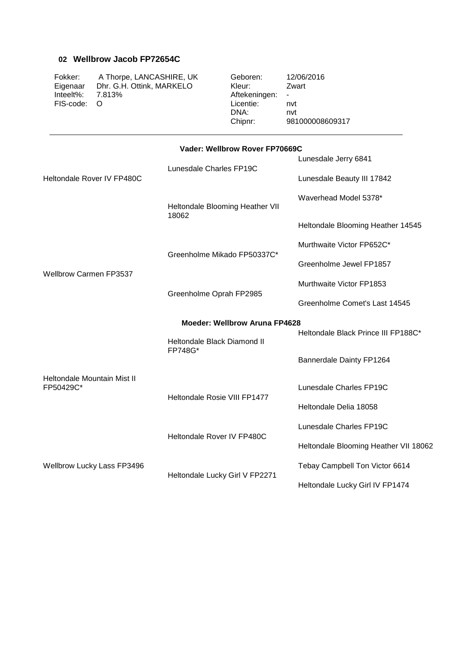#### **02 Wellbrow Jacob FP72654C**

Fokker: A Thorpe, LANCASHIRE, UK Geboren: 12/06/2016<br>Eigenaar Dhr. G.H. Ottink, MARKELO Kleur: Zwart Eigenaar Dhr. G.H. Ottink, MARKELO Kleur: Zwart<br>Inteelt%: 7.813% Aftekeningen: -FIS-code: O Licentie: nvt

Aftekeningen: -<br>Licentie: n DNA: nvt<br>Chipnr: 981 Chipnr: 981000008609317

#### **Vader: Wellbrow Rover FP70669C**

|                                          |                                      | Lunesdale Jerry 6841                  |  |  |
|------------------------------------------|--------------------------------------|---------------------------------------|--|--|
| Heltondale Rover IV FP480C               | Lunesdale Charles FP19C              | Lunesdale Beauty III 17842            |  |  |
|                                          | Heltondale Blooming Heather VII      | Waverhead Model 5378*                 |  |  |
|                                          | 18062                                | Heltondale Blooming Heather 14545     |  |  |
|                                          | Greenholme Mikado FP50337C*          | Murthwaite Victor FP652C*             |  |  |
|                                          |                                      | Greenholme Jewel FP1857               |  |  |
| <b>Wellbrow Carmen FP3537</b>            |                                      | Murthwaite Victor FP1853              |  |  |
|                                          | Greenholme Oprah FP2985              | Greenholme Comet's Last 14545         |  |  |
|                                          | <b>Moeder: Wellbrow Aruna FP4628</b> |                                       |  |  |
|                                          | Heltondale Black Diamond II          | Heltondale Black Prince III FP188C*   |  |  |
|                                          | FP748G*                              | Bannerdale Dainty FP1264              |  |  |
| Heltondale Mountain Mist II<br>FP50429C* |                                      | Lunesdale Charles FP19C               |  |  |
|                                          | Heltondale Rosie VIII FP1477         | Heltondale Delia 18058                |  |  |
|                                          |                                      | Lunesdale Charles FP19C               |  |  |
|                                          | Heltondale Rover IV FP480C           | Heltondale Blooming Heather VII 18062 |  |  |
| <b>Wellbrow Lucky Lass FP3496</b>        |                                      | Tebay Campbell Ton Victor 6614        |  |  |
|                                          | Heltondale Lucky Girl V FP2271       | Heltondale Lucky Girl IV FP1474       |  |  |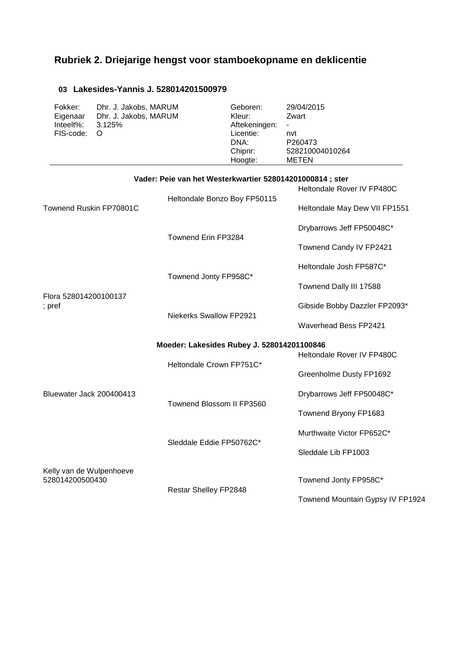## **Rubriek 2. Driejarige hengst voor stamboekopname en deklicentie**

#### **03 Lakesides-Yannis J. 528014201500979**

| Fokker:   | Dhr. J. Jakobs, MARUM                                     | Geboren:      | 29/04/2015                 |
|-----------|-----------------------------------------------------------|---------------|----------------------------|
| Eigenaar  | Dhr. J. Jakobs, MARUM                                     | Kleur:        | Zwart                      |
| Inteelt%: | 3.125%                                                    | Aftekeningen: |                            |
| FIS-code: | - O                                                       | Licentie:     | nvt                        |
|           |                                                           | DNA:          | P260473                    |
|           |                                                           | Chipnr:       | 528210004010264            |
|           |                                                           | Hoogte:       | METEN                      |
|           | Vader: Peie van het Westerkwartier 528014201000814 ; ster |               | Heltondale Rover IV FP480C |
|           |                                                           |               |                            |

| Townend Ruskin FP70801C                     | Heltondale Bonzo Boy FP50115               | Heltondale May Dew VII FP1551    |
|---------------------------------------------|--------------------------------------------|----------------------------------|
|                                             |                                            | Drybarrows Jeff FP50048C*        |
|                                             | Townend Erin FP3284                        | Townend Candy IV FP2421          |
|                                             |                                            | Heltondale Josh FP587C*          |
|                                             | Townend Jonty FP958C*                      | Townend Dally III 17588          |
| Flora 528014200100137<br>; $pref$           |                                            | Gibside Bobby Dazzler FP2093*    |
|                                             | Niekerks Swallow FP2921                    | <b>Waverhead Bess FP2421</b>     |
|                                             | Moeder: Lakesides Rubey J. 528014201100846 | Heltondale Rover IV FP480C       |
|                                             | Heltondale Crown FP751C*                   | Greenholme Dusty FP1692          |
| Bluewater Jack 200400413                    |                                            | Drybarrows Jeff FP50048C*        |
|                                             | Townend Blossom II FP3560                  | Townend Bryony FP1683            |
|                                             |                                            | Murthwaite Victor FP652C*        |
|                                             | Sleddale Eddie FP50762C*                   | Sleddale Lib FP1003              |
| Kelly van de Wulpenhoeve<br>528014200500430 | Restar Shelley FP2848                      | Townend Jonty FP958C*            |
|                                             |                                            | Townend Mountain Gypsy IV FP1924 |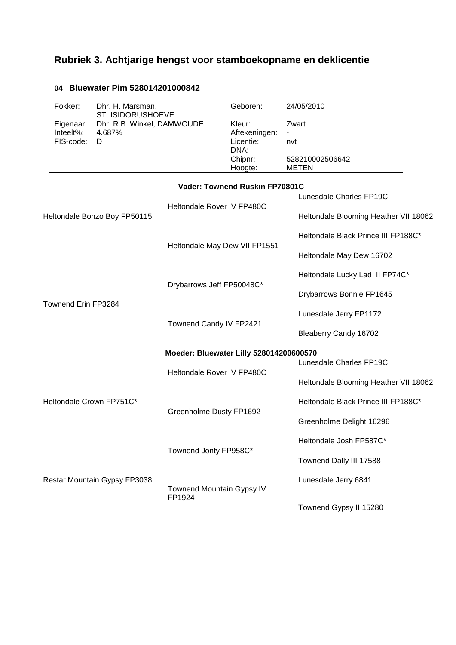# **Rubriek 3. Achtjarige hengst voor stamboekopname en deklicentie**

### **04 Bluewater Pim 528014201000842**

| Fokker:<br>Dhr. H. Marsman,<br>ST. ISIDORUSHOEVE                                |                                     | Geboren:                                                           | 24/05/2010                                      |  |
|---------------------------------------------------------------------------------|-------------------------------------|--------------------------------------------------------------------|-------------------------------------------------|--|
| Dhr. R.B. Winkel, DAMWOUDE<br>Eigenaar<br>Inteelt%:<br>4.687%<br>FIS-code:<br>D |                                     | Kleur:<br>Aftekeningen:<br>Licentie:<br>DNA:<br>Chipnr:<br>Hoogte: | Zwart<br>nvt<br>528210002506642<br><b>METEN</b> |  |
|                                                                                 |                                     | Vader: Townend Ruskin FP70801C                                     |                                                 |  |
|                                                                                 |                                     | Heltondale Rover IV FP480C                                         | Lunesdale Charles FP19C                         |  |
| Heltondale Bonzo Boy FP50115                                                    |                                     |                                                                    | Heltondale Blooming Heather VII 18062           |  |
|                                                                                 |                                     |                                                                    | Heltondale Black Prince III FP188C*             |  |
|                                                                                 |                                     | Heltondale May Dew VII FP1551                                      | Heltondale May Dew 16702                        |  |
|                                                                                 |                                     |                                                                    | Heltondale Lucky Lad II FP74C*                  |  |
|                                                                                 | Drybarrows Jeff FP50048C*           |                                                                    | Drybarrows Bonnie FP1645                        |  |
| Townend Erin FP3284                                                             |                                     |                                                                    | Lunesdale Jerry FP1172                          |  |
|                                                                                 | Townend Candy IV FP2421             |                                                                    | Bleaberry Candy 16702                           |  |
|                                                                                 |                                     | Moeder: Bluewater Lilly 528014200600570                            |                                                 |  |
|                                                                                 |                                     | Heltondale Rover IV FP480C                                         | Lunesdale Charles FP19C                         |  |
|                                                                                 |                                     |                                                                    | Heltondale Blooming Heather VII 18062           |  |
| Heltondale Crown FP751C*                                                        |                                     |                                                                    | Heltondale Black Prince III FP188C*             |  |
|                                                                                 | Greenholme Dusty FP1692             |                                                                    | Greenholme Delight 16296                        |  |
|                                                                                 |                                     |                                                                    | Heltondale Josh FP587C*                         |  |
|                                                                                 | Townend Jonty FP958C*               |                                                                    | Townend Dally III 17588                         |  |
| Restar Mountain Gypsy FP3038                                                    |                                     |                                                                    | Lunesdale Jerry 6841                            |  |
|                                                                                 | Townend Mountain Gypsy IV<br>FP1924 |                                                                    | Townend Gypsy II 15280                          |  |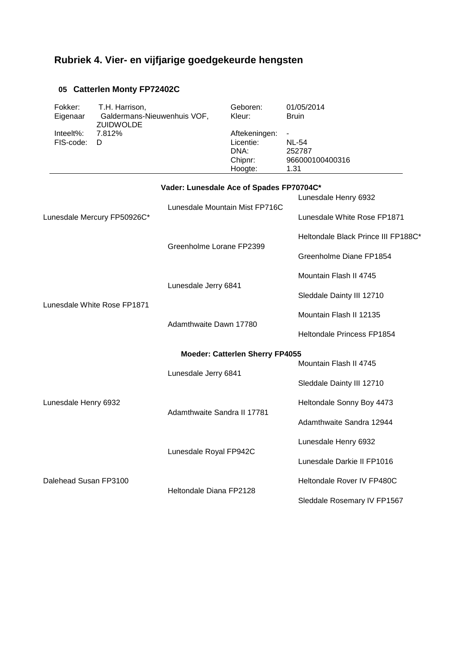# **Rubriek 4. Vier- en vijfjarige goedgekeurde hengsten**

### **05 Catterlen Monty FP72402C**

| Fokker:<br>Eigenaar<br>Inteelt%:<br>FIS-code: | T.H. Harrison,<br>Galdermans-Nieuwenhuis VOF,<br><b>ZUIDWOLDE</b><br>7.812%<br>D |                                          | Geboren:<br>Kleur:<br>Aftekeningen:<br>Licentie:<br>DNA: | 01/05/2014<br><b>Bruin</b><br><b>NL-54</b><br>252787 |
|-----------------------------------------------|----------------------------------------------------------------------------------|------------------------------------------|----------------------------------------------------------|------------------------------------------------------|
|                                               |                                                                                  |                                          | Chipnr:<br>Hoogte:                                       | 966000100400316<br>1.31                              |
|                                               |                                                                                  | Vader: Lunesdale Ace of Spades FP70704C* |                                                          |                                                      |
|                                               |                                                                                  |                                          |                                                          | Lunesdale Henry 6932                                 |
|                                               | Lunesdale Mercury FP50926C*                                                      |                                          | Lunesdale Mountain Mist FP716C                           | Lunesdale White Rose FP1871                          |
|                                               |                                                                                  | Greenholme Lorane FP2399                 |                                                          | Heltondale Black Prince III FP188C*                  |
|                                               |                                                                                  |                                          |                                                          | Greenholme Diane FP1854                              |
|                                               |                                                                                  | Lunesdale Jerry 6841                     |                                                          | Mountain Flash II 4745                               |
|                                               |                                                                                  |                                          |                                                          | Sleddale Dainty III 12710                            |
| Lunesdale White Rose FP1871                   |                                                                                  | Adamthwaite Dawn 17780                   |                                                          | Mountain Flash II 12135                              |
|                                               |                                                                                  |                                          |                                                          | Heltondale Princess FP1854                           |
|                                               |                                                                                  |                                          | <b>Moeder: Catterlen Sherry FP4055</b>                   |                                                      |
|                                               |                                                                                  |                                          |                                                          | Mountain Flash II 4745                               |
|                                               |                                                                                  | Lunesdale Jerry 6841                     |                                                          | Sleddale Dainty III 12710                            |
| Lunesdale Henry 6932                          |                                                                                  |                                          |                                                          | Heltondale Sonny Boy 4473                            |
|                                               |                                                                                  | Adamthwaite Sandra II 17781              |                                                          | Adamthwaite Sandra 12944                             |
|                                               |                                                                                  |                                          |                                                          | Lunesdale Henry 6932                                 |
|                                               |                                                                                  | Lunesdale Royal FP942C                   |                                                          | Lunesdale Darkie II FP1016                           |
| Dalehead Susan FP3100                         |                                                                                  |                                          |                                                          | Heltondale Rover IV FP480C                           |
|                                               |                                                                                  | Heltondale Diana FP2128                  |                                                          | Sleddale Rosemary IV FP1567                          |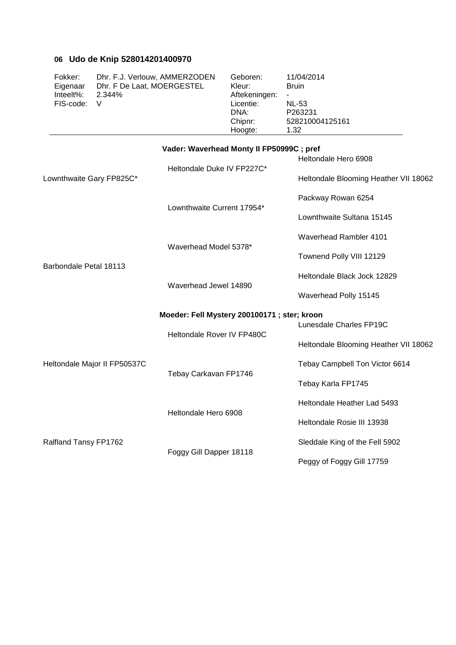### **06 Udo de Knip 528014201400970**

| Fokker:<br>Eigenaar<br>Inteelt%:<br>FIS-code: | Dhr. F.J. Verlouw, AMMERZODEN<br>Dhr. F De Laat, MOERGESTEL<br>2.344%<br>V |                                             | Geboren:<br>Kleur:<br>Aftekeningen:<br>Licentie:<br>DNA:<br>Chipnr:<br>Hoogte: | 11/04/2014<br><b>Bruin</b><br><b>NL-53</b><br>P263231<br>528210004125161<br>1.32 |  |
|-----------------------------------------------|----------------------------------------------------------------------------|---------------------------------------------|--------------------------------------------------------------------------------|----------------------------------------------------------------------------------|--|
|                                               |                                                                            | Vader: Waverhead Monty II FP50999C; pref    |                                                                                |                                                                                  |  |
|                                               |                                                                            | Heltondale Duke IV FP227C*                  |                                                                                | Heltondale Hero 6908                                                             |  |
|                                               | Lownthwaite Gary FP825C*                                                   |                                             |                                                                                | Heltondale Blooming Heather VII 18062                                            |  |
|                                               |                                                                            | Lownthwaite Current 17954*                  |                                                                                | Packway Rowan 6254                                                               |  |
|                                               |                                                                            |                                             |                                                                                | Lownthwaite Sultana 15145                                                        |  |
| Barbondale Petal 18113                        |                                                                            |                                             |                                                                                | Waverhead Rambler 4101                                                           |  |
|                                               |                                                                            | Waverhead Model 5378*                       |                                                                                | Townend Polly VIII 12129                                                         |  |
|                                               |                                                                            |                                             |                                                                                | Heltondale Black Jock 12829                                                      |  |
|                                               |                                                                            | Waverhead Jewel 14890                       |                                                                                | Waverhead Polly 15145                                                            |  |
|                                               |                                                                            | Moeder: Fell Mystery 200100171; ster; kroon |                                                                                |                                                                                  |  |
|                                               |                                                                            | Heltondale Rover IV FP480C                  |                                                                                | Lunesdale Charles FP19C                                                          |  |
|                                               |                                                                            |                                             |                                                                                | Heltondale Blooming Heather VII 18062                                            |  |
| Heltondale Major II FP50537C                  |                                                                            |                                             |                                                                                | Tebay Campbell Ton Victor 6614                                                   |  |
|                                               |                                                                            | Tebay Carkavan FP1746                       |                                                                                | Tebay Karla FP1745                                                               |  |
|                                               |                                                                            |                                             |                                                                                | Heltondale Heather Lad 5493                                                      |  |
|                                               |                                                                            | Heltondale Hero 6908                        |                                                                                | Heltondale Rosie III 13938                                                       |  |
| Ralfland Tansy FP1762                         |                                                                            |                                             |                                                                                | Sleddale King of the Fell 5902                                                   |  |
|                                               |                                                                            | Foggy Gill Dapper 18118                     |                                                                                | Peggy of Foggy Gill 17759                                                        |  |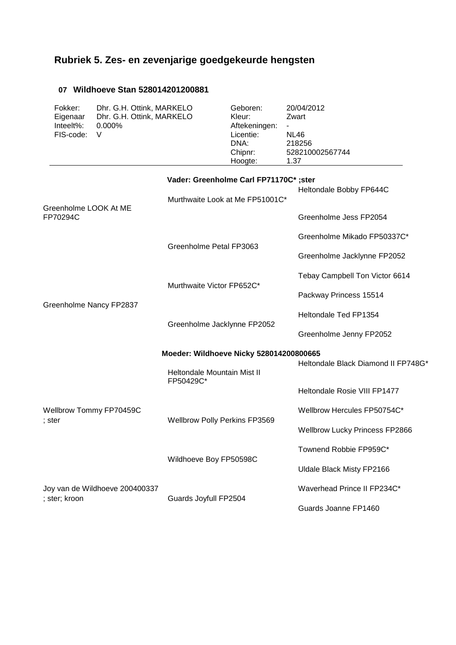# **Rubriek 5. Zes- en zevenjarige goedgekeurde hengsten**

### **07 Wildhoeve Stan 528014201200881**

| Fokker:<br>Eigenaar<br>Inteelt%:<br>FIS-code: | Dhr. G.H. Ottink, MARKELO<br>Dhr. G.H. Ottink, MARKELO<br>0.000%<br>V |                                                                           | Geboren:<br>Kleur:<br>Aftekeningen:<br>Licentie:<br>DNA:<br>Chipnr:<br>Hoogte: | 20/04/2012<br>Zwart<br><b>NL46</b><br>218256<br>528210002567744<br>1.37 |
|-----------------------------------------------|-----------------------------------------------------------------------|---------------------------------------------------------------------------|--------------------------------------------------------------------------------|-------------------------------------------------------------------------|
|                                               |                                                                       | Vader: Greenholme Carl FP71170C*; ster<br>Murthwaite Look at Me FP51001C* |                                                                                | Heltondale Bobby FP644C                                                 |
| Greenholme LOOK At ME<br>FP70294C             |                                                                       |                                                                           |                                                                                | Greenholme Jess FP2054                                                  |
|                                               |                                                                       |                                                                           |                                                                                | Greenholme Mikado FP50337C*                                             |
|                                               |                                                                       | Greenholme Petal FP3063                                                   |                                                                                | Greenholme Jacklynne FP2052                                             |
|                                               |                                                                       | Murthwaite Victor FP652C*                                                 |                                                                                | Tebay Campbell Ton Victor 6614                                          |
|                                               |                                                                       |                                                                           |                                                                                | Packway Princess 15514                                                  |
| Greenholme Nancy FP2837                       |                                                                       | Greenholme Jacklynne FP2052                                               |                                                                                | Heltondale Ted FP1354                                                   |
|                                               |                                                                       |                                                                           |                                                                                | Greenholme Jenny FP2052                                                 |
|                                               |                                                                       | Moeder: Wildhoeve Nicky 528014200800665                                   |                                                                                |                                                                         |
|                                               |                                                                       | Heltondale Mountain Mist II<br>FP50429C*                                  |                                                                                | Heltondale Black Diamond II FP748G*                                     |
|                                               |                                                                       |                                                                           |                                                                                | Heltondale Rosie VIII FP1477                                            |
| Wellbrow Tommy FP70459C                       |                                                                       | Wellbrow Polly Perkins FP3569                                             |                                                                                | Wellbrow Hercules FP50754C*                                             |
| ; ster                                        |                                                                       |                                                                           |                                                                                | <b>Wellbrow Lucky Princess FP2866</b>                                   |
|                                               |                                                                       |                                                                           |                                                                                | Townend Robbie FP959C*                                                  |
|                                               |                                                                       | Wildhoeve Boy FP50598C                                                    |                                                                                | Uldale Black Misty FP2166                                               |
|                                               | Joy van de Wildhoeve 200400337                                        |                                                                           |                                                                                | Waverhead Prince II FP234C*                                             |
| ; ster; kroon                                 |                                                                       | Guards Joyfull FP2504                                                     |                                                                                | Guards Joanne FP1460                                                    |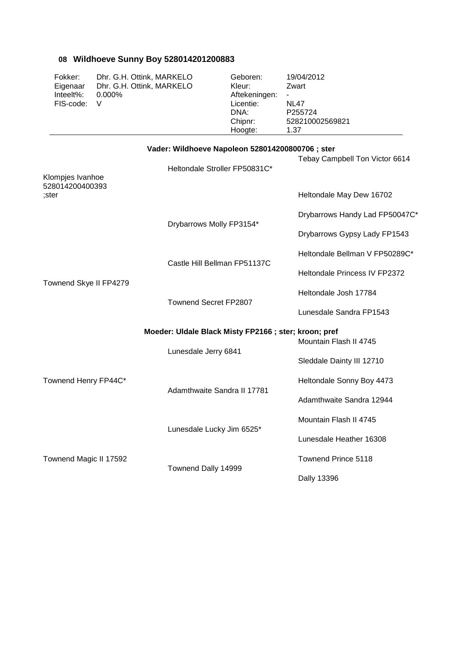## **08 Wildhoeve Sunny Boy 528014201200883**

| Fokker:<br>Eigenaar<br>Inteelt%:<br>FIS-code: | Dhr. G.H. Ottink, MARKELO<br>Dhr. G.H. Ottink, MARKELO<br>0.000%<br>V |                                                                                   | Geboren:<br>Kleur:<br>Aftekeningen:<br>Licentie:<br>DNA:<br>Chipnr:<br>Hoogte: | 19/04/2012<br>Zwart<br><b>NL47</b><br>P255724<br>528210002569821<br>1.37 |
|-----------------------------------------------|-----------------------------------------------------------------------|-----------------------------------------------------------------------------------|--------------------------------------------------------------------------------|--------------------------------------------------------------------------|
|                                               |                                                                       | Vader: Wildhoeve Napoleon 528014200800706 ; ster<br>Heltondale Stroller FP50831C* |                                                                                | Tebay Campbell Ton Victor 6614                                           |
| Klompjes Ivanhoe<br>528014200400393<br>:ster  |                                                                       |                                                                                   |                                                                                | Heltondale May Dew 16702                                                 |
|                                               |                                                                       |                                                                                   |                                                                                | Drybarrows Handy Lad FP50047C*                                           |
|                                               |                                                                       | Drybarrows Molly FP3154*                                                          |                                                                                | Drybarrows Gypsy Lady FP1543                                             |
|                                               |                                                                       |                                                                                   |                                                                                | Heltondale Bellman V FP50289C*                                           |
|                                               |                                                                       | Castle Hill Bellman FP51137C                                                      |                                                                                | Heltondale Princess IV FP2372                                            |
| Townend Skye II FP4279                        |                                                                       |                                                                                   |                                                                                | Heltondale Josh 17784                                                    |
|                                               |                                                                       | <b>Townend Secret FP2807</b>                                                      |                                                                                | Lunesdale Sandra FP1543                                                  |
|                                               |                                                                       | Moeder: Uldale Black Misty FP2166; ster; kroon; pref                              |                                                                                | Mountain Flash II 4745                                                   |
|                                               |                                                                       | Lunesdale Jerry 6841                                                              |                                                                                | Sleddale Dainty III 12710                                                |
| Townend Henry FP44C*                          |                                                                       |                                                                                   |                                                                                | Heltondale Sonny Boy 4473                                                |
|                                               |                                                                       | Adamthwaite Sandra II 17781                                                       |                                                                                | Adamthwaite Sandra 12944                                                 |
|                                               |                                                                       |                                                                                   |                                                                                | Mountain Flash II 4745                                                   |
|                                               |                                                                       | Lunesdale Lucky Jim 6525*                                                         |                                                                                | Lunesdale Heather 16308                                                  |
| Townend Magic II 17592                        |                                                                       |                                                                                   |                                                                                | Townend Prince 5118                                                      |
|                                               |                                                                       | Townend Dally 14999                                                               |                                                                                | Dally 13396                                                              |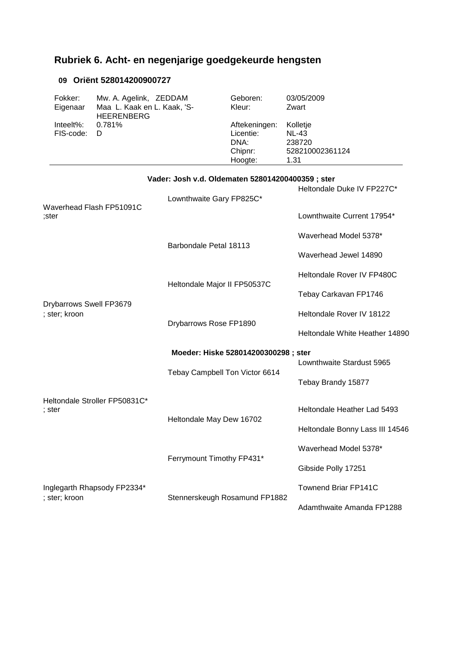# **Rubriek 6. Acht- en negenjarige goedgekeurde hengsten**

#### **09 Oriënt 528014200900727**

| Fokker:             | Mw. A. Agelink, ZEDDAM                           | Geboren:               | 03/05/2009      |
|---------------------|--------------------------------------------------|------------------------|-----------------|
| Eigenaar            | Maa L. Kaak en L. Kaak, 'S-<br><b>HEERENBERG</b> | Kleur:                 | Zwart           |
| Inteelt%: $0.781\%$ |                                                  | Aftekeningen: Kolletje |                 |
| FIS-code: D         |                                                  | Licentie:              | <b>NL-43</b>    |
|                     |                                                  | DNA:                   | 238720          |
|                     |                                                  | Chipnr:                | 528210002361124 |
|                     |                                                  | Hoogte:                | 1.31            |

| Vader: Josh v.d. Oldematen 528014200400359 ; ster |                                      |                                 |  |  |  |
|---------------------------------------------------|--------------------------------------|---------------------------------|--|--|--|
|                                                   | Lownthwaite Gary FP825C*             | Heltondale Duke IV FP227C*      |  |  |  |
| Waverhead Flash FP51091C<br>:ster                 |                                      | Lownthwaite Current 17954*      |  |  |  |
|                                                   | Barbondale Petal 18113               | Waverhead Model 5378*           |  |  |  |
|                                                   |                                      | Waverhead Jewel 14890           |  |  |  |
|                                                   | Heltondale Major II FP50537C         | Heltondale Rover IV FP480C      |  |  |  |
| Drybarrows Swell FP3679                           |                                      | Tebay Carkavan FP1746           |  |  |  |
| ; ster; kroon                                     | Drybarrows Rose FP1890               | Heltondale Rover IV 18122       |  |  |  |
|                                                   |                                      | Heltondale White Heather 14890  |  |  |  |
|                                                   | Moeder: Hiske 528014200300298 ; ster | Lownthwaite Stardust 5965       |  |  |  |
|                                                   | Tebay Campbell Ton Victor 6614       | Tebay Brandy 15877              |  |  |  |
| Heltondale Stroller FP50831C*<br>; ster           | Heltondale May Dew 16702             | Heltondale Heather Lad 5493     |  |  |  |
|                                                   |                                      | Heltondale Bonny Lass III 14546 |  |  |  |
|                                                   | Ferrymount Timothy FP431*            | Waverhead Model 5378*           |  |  |  |
|                                                   |                                      | Gibside Polly 17251             |  |  |  |
| Inglegarth Rhapsody FP2334*<br>; ster; kroon      | Stennerskeugh Rosamund FP1882        | <b>Townend Briar FP141C</b>     |  |  |  |
|                                                   |                                      | Adamthwaite Amanda FP1288       |  |  |  |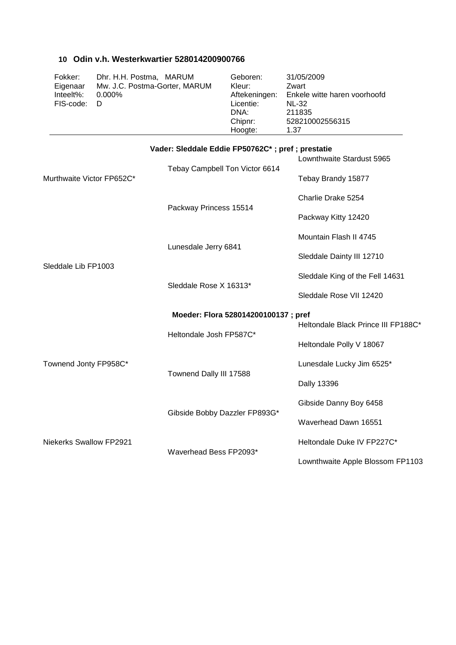#### **10 Odin v.h. Westerkwartier 528014200900766**

| Fokker:     | Dhr. H.H. Postma, MARUM       | Geboren:      | 31/05/2009                   |
|-------------|-------------------------------|---------------|------------------------------|
| Eigenaar    | Mw. J.C. Postma-Gorter, MARUM | Kleur:        | Zwart                        |
| Inteelt%:   | $0.000\%$                     | Aftekeningen: | Enkele witte haren voorhoofd |
| FIS-code: D |                               | Licentie:     | <b>NL-32</b>                 |
|             |                               | DNA:          | 211835                       |
|             |                               | Chipnr:       | 528210002556315              |
|             |                               | Hoogte:       | 1.37                         |
|             |                               |               |                              |

|                                | Vader: Sleddale Eddie FP50762C*; pref; prestatie | Lownthwaite Stardust 5965           |
|--------------------------------|--------------------------------------------------|-------------------------------------|
| Murthwaite Victor FP652C*      | Tebay Campbell Ton Victor 6614                   | Tebay Brandy 15877                  |
|                                |                                                  | Charlie Drake 5254                  |
|                                | Packway Princess 15514                           | Packway Kitty 12420                 |
|                                | Lunesdale Jerry 6841                             | Mountain Flash II 4745              |
| Sleddale Lib FP1003            |                                                  | Sleddale Dainty III 12710           |
|                                | Sleddale Rose X 16313*                           | Sleddale King of the Fell 14631     |
|                                |                                                  | Sleddale Rose VII 12420             |
|                                | Moeder: Flora 528014200100137; pref              |                                     |
|                                | Heltondale Josh FP587C*                          | Heltondale Black Prince III FP188C* |
|                                |                                                  | Heltondale Polly V 18067            |
| Townend Jonty FP958C*          | Townend Dally III 17588                          | Lunesdale Lucky Jim 6525*           |
|                                |                                                  | Dally 13396                         |
|                                | Gibside Bobby Dazzler FP893G*                    | Gibside Danny Boy 6458              |
|                                |                                                  | Waverhead Dawn 16551                |
| <b>Niekerks Swallow FP2921</b> | Waverhead Bess FP2093*                           | Heltondale Duke IV FP227C*          |
|                                |                                                  | Lownthwaite Apple Blossom FP1103    |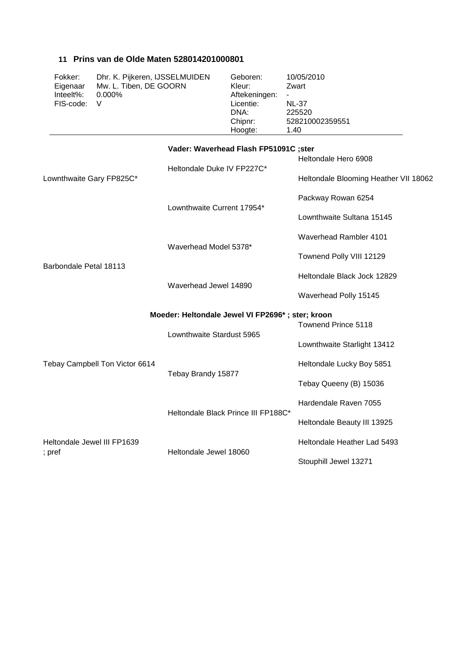| Fokker:<br>Eigenaar<br>Inteelt%:<br>FIS-code:    | Dhr. K. Pijkeren, IJSSELMUIDEN<br>Mw. L. Tiben, DE GOORN<br>0.000%<br>V |                                                                     | Geboren:<br>Kleur:<br>Aftekeningen:<br>Licentie:<br>DNA:<br>Chipnr:<br>Hoogte: | 10/05/2010<br>Zwart<br><b>NL-37</b><br>225520<br>528210002359551<br>1.40 |
|--------------------------------------------------|-------------------------------------------------------------------------|---------------------------------------------------------------------|--------------------------------------------------------------------------------|--------------------------------------------------------------------------|
| Lownthwaite Gary FP825C*                         |                                                                         | Vader: Waverhead Flash FP51091C ;ster<br>Heltondale Duke IV FP227C* |                                                                                | Heltondale Hero 6908<br>Heltondale Blooming Heather VII 18062            |
|                                                  |                                                                         | Lownthwaite Current 17954*                                          |                                                                                | Packway Rowan 6254<br>Lownthwaite Sultana 15145                          |
| Barbondale Petal 18113                           |                                                                         | Waverhead Model 5378*                                               |                                                                                | Waverhead Rambler 4101<br>Townend Polly VIII 12129                       |
|                                                  |                                                                         | Waverhead Jewel 14890                                               |                                                                                | Heltondale Black Jock 12829<br>Waverhead Polly 15145                     |
| Moeder: Heltondale Jewel VI FP2696*; ster; kroon |                                                                         |                                                                     |                                                                                |                                                                          |
|                                                  |                                                                         | Lownthwaite Stardust 5965                                           |                                                                                | Townend Prince 5118<br>Lownthwaite Starlight 13412                       |
|                                                  | Tebay Campbell Ton Victor 6614                                          |                                                                     |                                                                                | Heltondale Lucky Boy 5851                                                |
|                                                  |                                                                         | Tebay Brandy 15877                                                  |                                                                                | Tebay Queeny (B) 15036                                                   |
|                                                  |                                                                         |                                                                     |                                                                                | Hardendale Raven 7055                                                    |
|                                                  |                                                                         | Heltondale Black Prince III FP188C*                                 |                                                                                | Heltondale Beauty III 13925                                              |
| Heltondale Jewel III FP1639                      |                                                                         |                                                                     |                                                                                | Heltondale Heather Lad 5493                                              |
| ; pref                                           |                                                                         | Heltondale Jewel 18060                                              |                                                                                | Stouphill Jewel 13271                                                    |

 **11 Prins van de Olde Maten 528014201000801**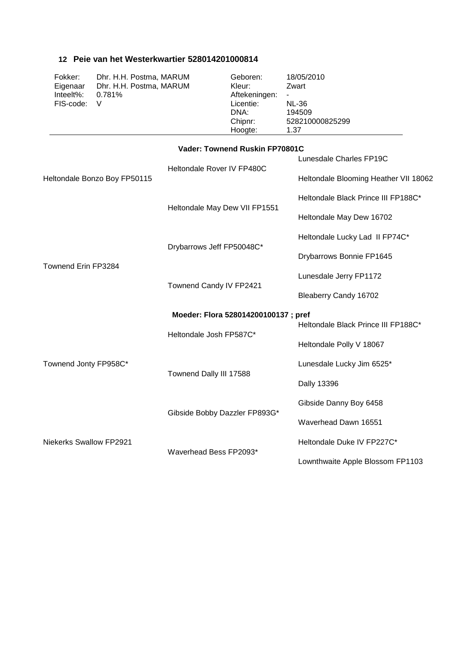#### **12 Peie van het Westerkwartier 528014201000814**

| Fokker:     | Dhr. H.H. Postma, MARUM | Geboren:      | 18/05/2010      |
|-------------|-------------------------|---------------|-----------------|
| Eigenaar    | Dhr. H.H. Postma, MARUM | Kleur:        | Zwart           |
| Inteelt%:   | 0.781%                  | Aftekeningen: | $\blacksquare$  |
| FIS-code: V |                         | Licentie:     | <b>NL-36</b>    |
|             |                         | DNA:          | 194509          |
|             |                         | Chipnr:       | 528210000825299 |
|             |                         | Hoogte:       | 1.37            |
|             |                         |               |                 |

#### **Vader: Townend Ruskin FP70801C**

|                                |                                     | Lunesdale Charles FP19C               |  |
|--------------------------------|-------------------------------------|---------------------------------------|--|
| Heltondale Bonzo Boy FP50115   | Heltondale Rover IV FP480C          | Heltondale Blooming Heather VII 18062 |  |
|                                |                                     | Heltondale Black Prince III FP188C*   |  |
|                                | Heltondale May Dew VII FP1551       | Heltondale May Dew 16702              |  |
|                                |                                     | Heltondale Lucky Lad II FP74C*        |  |
| Townend Erin FP3284            | Drybarrows Jeff FP50048C*           | Drybarrows Bonnie FP1645              |  |
|                                |                                     | Lunesdale Jerry FP1172                |  |
|                                | Townend Candy IV FP2421             | Bleaberry Candy 16702                 |  |
|                                | Moeder: Flora 528014200100137; pref |                                       |  |
|                                |                                     | Heltondale Black Prince III FP188C*   |  |
|                                | Heltondale Josh FP587C*             | Heltondale Polly V 18067              |  |
| Townend Jonty FP958C*          | Townend Dally III 17588             | Lunesdale Lucky Jim 6525*             |  |
|                                |                                     | Dally 13396                           |  |
|                                | Gibside Bobby Dazzler FP893G*       | Gibside Danny Boy 6458                |  |
|                                |                                     | Waverhead Dawn 16551                  |  |
| <b>Niekerks Swallow FP2921</b> | Waverhead Bess FP2093*              | Heltondale Duke IV FP227C*            |  |
|                                |                                     | Lownthwaite Apple Blossom FP1103      |  |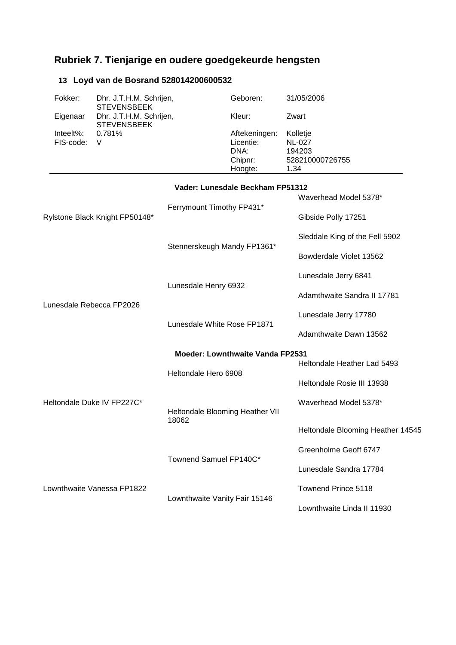# **Rubriek 7. Tienjarige en oudere goedgekeurde hengsten**

### **13 Loyd van de Bosrand 528014200600532**

|                            | Fokker:                | Dhr. J.T.H.M. Schrijen,<br><b>STEVENSBEEK</b> |                                          | Geboren:                                                 | 31/05/2006                                                     |
|----------------------------|------------------------|-----------------------------------------------|------------------------------------------|----------------------------------------------------------|----------------------------------------------------------------|
|                            | Eigenaar               | Dhr. J.T.H.M. Schrijen,                       |                                          | Kleur:                                                   | Zwart                                                          |
|                            | Inteelt%:<br>FIS-code: | <b>STEVENSBEEK</b><br>0.781%<br>V             |                                          | Aftekeningen:<br>Licentie:<br>DNA:<br>Chipnr:<br>Hoogte: | Kolletje<br><b>NL-027</b><br>194203<br>528210000726755<br>1.34 |
|                            |                        |                                               |                                          | Vader: Lunesdale Beckham FP51312                         |                                                                |
|                            |                        |                                               | Ferrymount Timothy FP431*                |                                                          | Waverhead Model 5378*                                          |
|                            |                        | Rylstone Black Knight FP50148*                |                                          |                                                          | Gibside Polly 17251                                            |
|                            |                        |                                               |                                          | Stennerskeugh Mandy FP1361*                              | Sleddale King of the Fell 5902                                 |
|                            |                        |                                               |                                          |                                                          | Bowderdale Violet 13562                                        |
| Lunesdale Rebecca FP2026   |                        |                                               |                                          | Lunesdale Jerry 6841                                     |                                                                |
|                            |                        |                                               | Lunesdale Henry 6932                     |                                                          | Adamthwaite Sandra II 17781                                    |
|                            |                        |                                               | Lunesdale Jerry 17780                    |                                                          |                                                                |
|                            |                        | Lunesdale White Rose FP1871                   |                                          | Adamthwaite Dawn 13562                                   |                                                                |
|                            |                        |                                               | Moeder: Lownthwaite Vanda FP2531         |                                                          |                                                                |
|                            |                        |                                               | Heltondale Hero 6908                     |                                                          | Heltondale Heather Lad 5493                                    |
|                            |                        |                                               |                                          |                                                          | Heltondale Rosie III 13938                                     |
| Heltondale Duke IV FP227C* |                        |                                               | Heltondale Blooming Heather VII<br>18062 |                                                          | Waverhead Model 5378*                                          |
|                            |                        |                                               |                                          |                                                          | Heltondale Blooming Heather 14545                              |
|                            |                        |                                               |                                          |                                                          | Greenholme Geoff 6747                                          |
|                            |                        | Townend Samuel FP140C*                        |                                          | Lunesdale Sandra 17784                                   |                                                                |
|                            |                        | Lownthwaite Vanessa FP1822                    |                                          |                                                          | Townend Prince 5118                                            |
|                            |                        | Lownthwaite Vanity Fair 15146                 |                                          | Lownthwaite Linda II 11930                               |                                                                |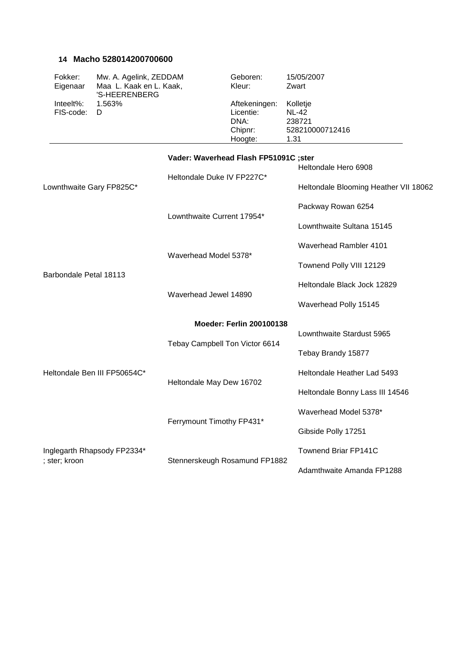#### **14 Macho 528014200700600**

| Fokker:             | Mw. A. Agelink, ZEDDAM                   | Geboren:      | 15/05/2007      |
|---------------------|------------------------------------------|---------------|-----------------|
| Eigenaar            | Maa L. Kaak en L. Kaak,<br>'S-HEERENBERG | Kleur:        | Zwart           |
| Inteelt%: $1.563\%$ |                                          | Aftekeningen: | Kolletje        |
| FIS-code: D         |                                          | Licentie:     | <b>NL-42</b>    |
|                     |                                          | DNA:          | 238721          |
|                     |                                          | Chipnr:       | 528210000712416 |
|                     |                                          | Hoogte:       | 1.31            |

|                              | Vader: Waverhead Flash FP51091C ;ster | Heltondale Hero 6908                  |
|------------------------------|---------------------------------------|---------------------------------------|
| Lownthwaite Gary FP825C*     | Heltondale Duke IV FP227C*            | Heltondale Blooming Heather VII 18062 |
|                              | Lownthwaite Current 17954*            | Packway Rowan 6254                    |
|                              |                                       | Lownthwaite Sultana 15145             |
|                              | Waverhead Model 5378*                 | Waverhead Rambler 4101                |
|                              |                                       | Townend Polly VIII 12129              |
| Barbondale Petal 18113       | Waverhead Jewel 14890                 | Heltondale Black Jock 12829           |
|                              |                                       | Waverhead Polly 15145                 |
|                              | <b>Moeder: Ferlin 200100138</b>       |                                       |
|                              | Tebay Campbell Ton Victor 6614        | Lownthwaite Stardust 5965             |
|                              |                                       | Tebay Brandy 15877                    |
| Heltondale Ben III FP50654C* | Heltondale May Dew 16702              | Heltondale Heather Lad 5493           |
|                              |                                       | Heltondale Bonny Lass III 14546       |
|                              | Ferrymount Timothy FP431*             | Waverhead Model 5378*                 |
|                              |                                       | Gibside Polly 17251                   |
| Inglegarth Rhapsody FP2334*  |                                       | <b>Townend Briar FP141C</b>           |
| ; ster; kroon                | Stennerskeugh Rosamund FP1882         | Adamthwaite Amanda FP1288             |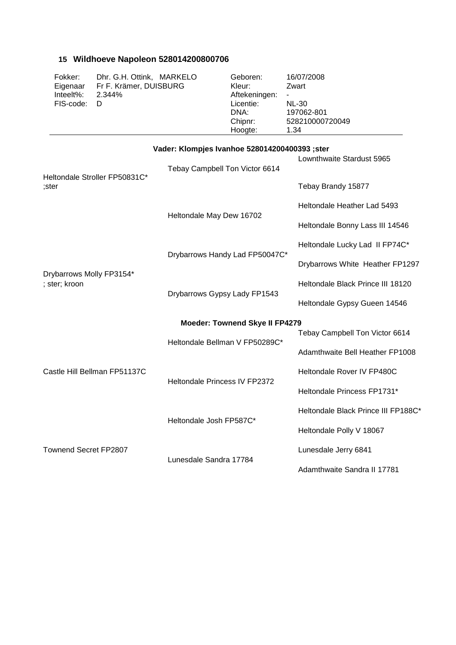### **15 Wildhoeve Napoleon 528014200800706**

| Fokker:   | Dhr. G.H. Ottink, MARKELO                      | Geboren:      | 16/07/2008               |
|-----------|------------------------------------------------|---------------|--------------------------|
| Eigenaar  | Fr F. Krämer, DUISBURG                         | Kleur:        | Zwart                    |
| Inteelt%: | 2.344%                                         | Aftekeningen: |                          |
| FIS-code: | D                                              | Licentie:     | <b>NL-30</b>             |
|           |                                                | DNA:          | 197062-801               |
|           |                                                | Chipnr:       | 528210000720049          |
|           |                                                | Hoogte:       | 1.34                     |
|           |                                                |               |                          |
|           | Vader: Klompjes Ivanhoe 528014200400393 ; ster |               |                          |
|           |                                                |               | ownthwaite Stardust 5965 |

|                                           | Tebay Campbell Ton Victor 6614        | LUWIIIIIWAIIE JIAIUUSI JYUJ         |
|-------------------------------------------|---------------------------------------|-------------------------------------|
| Heltondale Stroller FP50831C*<br>:ster    |                                       | Tebay Brandy 15877                  |
|                                           |                                       | Heltondale Heather Lad 5493         |
|                                           | Heltondale May Dew 16702              | Heltondale Bonny Lass III 14546     |
|                                           |                                       | Heltondale Lucky Lad II FP74C*      |
|                                           | Drybarrows Handy Lad FP50047C*        | Drybarrows White Heather FP1297     |
| Drybarrows Molly FP3154*<br>; ster; kroon |                                       | Heltondale Black Prince III 18120   |
|                                           | Drybarrows Gypsy Lady FP1543          | Heltondale Gypsy Gueen 14546        |
|                                           | <b>Moeder: Townend Skye II FP4279</b> |                                     |
|                                           | Heltondale Bellman V FP50289C*        | Tebay Campbell Ton Victor 6614      |
|                                           |                                       | Adamthwaite Bell Heather FP1008     |
| Castle Hill Bellman FP51137C              | Heltondale Princess IV FP2372         | Heltondale Rover IV FP480C          |
|                                           |                                       | Heltondale Princess FP1731*         |
|                                           | Heltondale Josh FP587C*               | Heltondale Black Prince III FP188C* |
|                                           |                                       | Heltondale Polly V 18067            |
| Townend Secret FP2807                     |                                       | Lunesdale Jerry 6841                |
|                                           | Lunesdale Sandra 17784                | Adamthwaite Sandra II 17781         |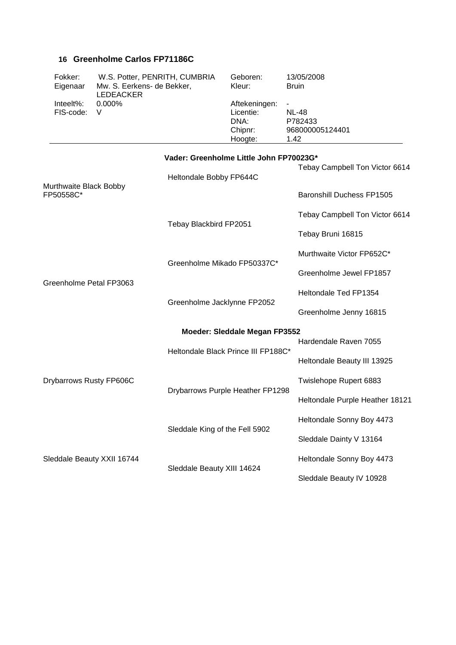#### **16 Greenholme Carlos FP71186C**

| Fokker:<br>Eigenaar           | W.S. Potter, PENRITH, CUMBRIA<br>Mw. S. Eerkens- de Bekker,<br>LEDEACKER | Geboren:<br>Kleur:                                       | 13/05/2008<br><b>Bruin</b>                                                     |
|-------------------------------|--------------------------------------------------------------------------|----------------------------------------------------------|--------------------------------------------------------------------------------|
| $Interlet\%$ :<br>FIS-code: V | $0.000\%$                                                                | Aftekeningen:<br>Licentie:<br>DNA:<br>Chipnr:<br>Hoogte: | $\overline{\phantom{a}}$<br><b>NL-48</b><br>P782433<br>968000005124401<br>1.42 |

|                                     | Vader: Greenholme Little John FP70023G* |                                  |
|-------------------------------------|-----------------------------------------|----------------------------------|
|                                     | Heltondale Bobby FP644C                 | Tebay Campbell Ton Victor 6614   |
| Murthwaite Black Bobby<br>FP50558C* |                                         | <b>Baronshill Duchess FP1505</b> |
|                                     |                                         | Tebay Campbell Ton Victor 6614   |
|                                     | Tebay Blackbird FP2051                  | Tebay Bruni 16815                |
|                                     | Greenholme Mikado FP50337C*             | Murthwaite Victor FP652C*        |
| Greenholme Petal FP3063             |                                         | Greenholme Jewel FP1857          |
|                                     |                                         | Heltondale Ted FP1354            |
|                                     | Greenholme Jacklynne FP2052             | Greenholme Jenny 16815           |
|                                     | Moeder: Sleddale Megan FP3552           |                                  |
|                                     | Heltondale Black Prince III FP188C*     | Hardendale Raven 7055            |
|                                     |                                         | Heltondale Beauty III 13925      |
| Drybarrows Rusty FP606C             | Drybarrows Purple Heather FP1298        | Twislehope Rupert 6883           |
|                                     |                                         | Heltondale Purple Heather 18121  |
|                                     | Sleddale King of the Fell 5902          | Heltondale Sonny Boy 4473        |
|                                     |                                         | Sleddale Dainty V 13164          |
| Sleddale Beauty XXII 16744          |                                         | Heltondale Sonny Boy 4473        |
|                                     | Sleddale Beauty XIII 14624              | Sleddale Beauty IV 10928         |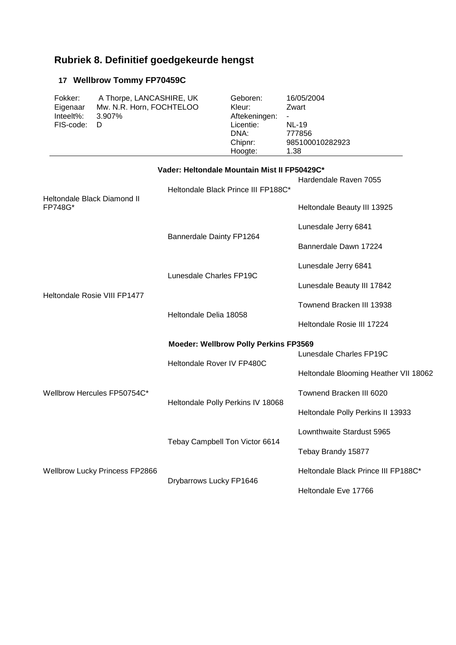# **Rubriek 8. Definitief goedgekeurde hengst**

### **17 Wellbrow Tommy FP70459C**

| Fokker:   | A Thorpe, LANCASHIRE, UK | Geboren:      | 16/05/2004      |
|-----------|--------------------------|---------------|-----------------|
| Eigenaar  | Mw. N.R. Horn, FOCHTELOO | Kleur:        | Zwart           |
| Inteelt%: | 3.907%                   | Aftekeningen: | $\sim$          |
| FIS-code: | D                        | Licentie:     | <b>NL-19</b>    |
|           |                          | DNA:          | 777856          |
|           |                          | Chipnr:       | 985100010282923 |
|           |                          | Hoogte:       | 1.38            |

|                                        | Vader: Heltondale Mountain Mist II FP50429C* |                                       |  |
|----------------------------------------|----------------------------------------------|---------------------------------------|--|
| Heltondale Black Diamond II<br>FP748G* | Heltondale Black Prince III FP188C*          | Hardendale Raven 7055                 |  |
|                                        |                                              | Heltondale Beauty III 13925           |  |
|                                        | Bannerdale Dainty FP1264                     | Lunesdale Jerry 6841                  |  |
|                                        |                                              | Bannerdale Dawn 17224                 |  |
| Heltondale Rosie VIII FP1477           | Lunesdale Charles FP19C                      | Lunesdale Jerry 6841                  |  |
|                                        |                                              | Lunesdale Beauty III 17842            |  |
|                                        | Heltondale Delia 18058                       | Townend Bracken III 13938             |  |
|                                        |                                              | Heltondale Rosie III 17224            |  |
|                                        | <b>Moeder: Wellbrow Polly Perkins FP3569</b> |                                       |  |
| Wellbrow Hercules FP50754C*            | Heltondale Rover IV FP480C                   | Lunesdale Charles FP19C               |  |
|                                        |                                              | Heltondale Blooming Heather VII 18062 |  |
|                                        | Heltondale Polly Perkins IV 18068            | Townend Bracken III 6020              |  |
|                                        |                                              | Heltondale Polly Perkins II 13933     |  |
|                                        |                                              | Lownthwaite Stardust 5965             |  |
| <b>Wellbrow Lucky Princess FP2866</b>  | Tebay Campbell Ton Victor 6614               | Tebay Brandy 15877                    |  |
|                                        | Drybarrows Lucky FP1646                      | Heltondale Black Prince III FP188C*   |  |
|                                        |                                              | Heltondale Eve 17766                  |  |